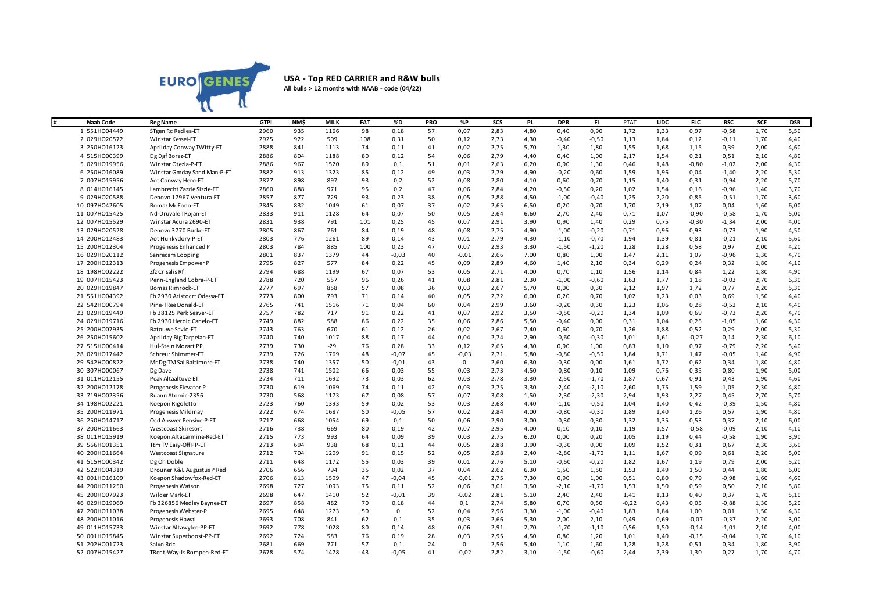

## **USA - Top RED CARRIER and R&W bulls**

**All bulls > 12 months with NAAB - code (04/22)**

| Naab Code                      | <b>Reg Name</b>                          | <b>GTPI</b>  | NM\$       | <b>MILK</b> | FAT | %D              | <b>PRO</b> | %P                  | SCS          | <b>PL</b>    | <b>DPR</b>      | FI              | PTAT            | <b>UDC</b>   | <b>FLC</b>      | <b>BSC</b>      | SCE          | <b>DSB</b>   |
|--------------------------------|------------------------------------------|--------------|------------|-------------|-----|-----------------|------------|---------------------|--------------|--------------|-----------------|-----------------|-----------------|--------------|-----------------|-----------------|--------------|--------------|
| 1 551HO04449                   | STgen Rc Redlea-ET                       | 2960         | 935        | 1166        | 98  | 0,18            | 57         | 0,07                | 2,83         | 4,80         | 0,40            | 0,90            | 1,72            | 1,33         | 0,97            | $-0,58$         | 1,70         | 5,50         |
| 2 029HO20572                   | Winstar Kessel-ET                        | 2925         | 922        | 509         | 108 | 0,31            | 50         | 0,12                | 2,73         | 4,30         | $-0,40$         | $-0,50$         | 1,13            | 1,84         | 0,12            | $-0,11$         | 1,70         | 4,40         |
| 3 250HO16123                   | Aprilday Conway TWitty-ET                | 2888         | 841        | 1113        | 74  | 0,11            | 41         | 0,02                | 2,75         | 5,70         | 1,30            | 1,80            | 1,55            | 1,68         | 1,15            | 0,39            | 2,00         | 4,60         |
| 4 515HO00399                   | Dg Dgf Boraz-ET                          | 2886         | 804        | 1188        | 80  | 0,12            | 54         | 0,06                | 2,79         | 4,40         | 0,40            | 1,00            | 2,17            | 1,54         | 0,21            | 0,51            | 2,10         | 4,80         |
| 5 029HO19956                   | Winstar Otezla-P-ET                      | 2886         | 967        | 1520        | 89  | 0,1             | 51         | 0,01                | 2,63         | 6,20         | 0,90            | 1,30            | 0,46            | 1,48         | $-0,80$         | $-1,02$         | 2,00         | 4,30         |
| 6 250HO16089                   | Winstar Gmday Sand Man-P-ET              | 2882         | 913        | 1323        | 85  | 0,12            | 49         | 0,03                | 2,79         | 4,90         | $-0,20$         | 0,60            | 1,59            | 1,96         | 0,04            | $-1,40$         | 2,20         | 5,30         |
| 7 007HO15956                   | Aot Conway Hero-ET                       | 2877         | 898        | 897         | 93  | 0,2             | 52         | 0,08                | 2,80         | 4,10         | 0,60            | 0,70            | 1,15            | 1,40         | 0,31            | $-0,94$         | 2,20         | 5,70         |
| 8 014H016145                   | Lambrecht Zazzle Sizzle-ET               | 2860         | 888        | 971         | 95  | 0,2             | 47         | 0,06                | 2,84         | 4,20         | $-0,50$         | 0,20            | 1,02            | 1,54         | 0,16            | $-0,96$         | 1,40         | 3,70         |
| 9 029HO20588                   | Denovo 17967 Ventura-ET                  | 2857         | 877        | 729         | 93  | 0,23            | 38         | 0,05                | 2,88         | 4,50         | $-1,00$         | $-0,40$         | 1,25            | 2,20         | 0,85            | $-0,51$         | 1,70         | 3,60         |
| 10 097H042605                  | Bomaz Mr Enno-ET                         | 2845         | 832        | 1049        | 61  | 0,07            | 37         | 0,02                | 2,65         | 6,50         | 0,20            | 0,70            | 1,70            | 2,19         | 1,07            | 0,04            | 1,60         | 6,00         |
| 11 007H015425                  | Nd-Druvale TRojan-ET                     | 2833         | 911        | 1128        | 64  | 0,07            | 50         | 0,05                | 2,64         | 6,60         | 2,70            | 2,40            | 0,71            | 1,07         | $-0,90$         | $-0,58$         | 1,70         | 5,00         |
| 12 007H015529                  | Winstar Acura 2690-ET                    | 2831         | 938        | 791         | 101 | 0,25            | 45         | 0,07                | 2,91         | 3,90         | 0,90            | 1,40            | 0,29            | 0,75         | $-0,30$         | $-1,34$         | 2,00         | 4,00         |
| 13 029H020528                  | Denovo 3770 Burke-ET                     | 2805         | 867        | 761         | 84  | 0,19            | 48         | 0,08                | 2,75         | 4,90         | $-1,00$         | $-0,20$         | 0,71            | 0,96         | 0,93            | $-0,73$         | 1,90         | 4,50         |
| 14 200HO12483                  | Aot Hunkydory-P-ET                       | 2803         | 776        | 1261        | 89  | 0,14            | 43         | 0,01                | 2,79         | 4,30         | $-1,10$         | $-0,70$         | 1,94            | 1,39         | 0,81            | $-0,21$         | 2,10         | 5,60         |
| 15 200HO12304                  | Progenesis Enhanced P                    | 2803         | 784        | 885         | 100 | 0,23            | 47         | 0,07                | 2,93         | 3,30         | $-1,50$         | $-1,20$         | 1,28            | 1,28         | 0,58            | 0,97            | 2,00         | 4,20         |
| 16 029HO20112                  | Sanrecam Looping                         | 2801         | 837        | 1379        | 44  | $-0,03$         | 40         | $-0,01$             | 2,66         | 7,00         | 0,80            | 1,00            | 1,47            | 2,11         | 1,07            | $-0,96$         | 1,30         | 4,70         |
| 17 200HO12313                  | Progenesis Empower P                     | 2795         | 827        | 577         | 84  | 0,22            | 45         | 0,09                | 2,89         | 4,60         | 1,40            | 2,10            | 0,34            | 0,29         | 0,24            | 0,32            | 1,80         | 4,10         |
| 18 198H002222                  | <b>Zfz Crisalis Rf</b>                   | 2794         | 688        | 1199        | 67  | 0,07            | 53         | 0,05                | 2,71         | 4,00         | 0,70            | 1,10            | 1,56            | 1,14         | 0,84            | 1,22            | 1,80         | 4,90         |
| 19 007HO15423                  | Penn-England Cobra-P-ET                  | 2788         | 720        | 557         | 96  | 0,26            | 41         | 0,08                | 2,81         | 2,30         | $-1,00$         | $-0,60$         | 1,63            | 1,77         | 1,18            | $-0,03$         | 2,70         | 6,30         |
| 20 029HO19847                  | Bomaz Rimrock-ET                         | 2777         | 697        | 858         | 57  | 0,08            | 36         | 0,03                | 2,67         | 5,70         | 0,00            | 0,30            | 2,12            | 1,97         | 1,72            | 0,77            | 2,20         | 5,30         |
| 21 551H004392                  | Fb 2930 Aristocrt Odessa-ET              | 2773         | 800        | 793         | 71  | 0,14            | 40         | 0,05                | 2,72         | 6,00         | 0,20            | 0,70            | 1,02            | 1,23         | 0,03            | 0,69            | 1,50         | 4,40         |
| 22 542H000794                  | Pine-TRee Donald-ET                      | 2765         | 741        | 1516        | 71  | 0,04            | 60         | 0,04                | 2,99         | 3,60         | $-0,20$         | 0,30            | 1,23            | 1,06         | 0,28            | $-0,52$         | 2,10         | 4,40         |
| 23 029HO19449                  | Fb 38125 Perk Seaver-ET                  | 2757         | 782        | 717         | 91  | 0,22            | 41         | 0,07                | 2,92         | 3,50         | $-0,50$         | $-0,20$         | 1,34            | 1,09         | 0,69            | $-0,73$         | 2,20         | 4,70         |
| 24 029H019716                  | Fb 2930 Heroic Canelo-ET                 | 2749         | 882        | 588         | 86  | 0,22            | 35         | 0,06                | 2,86         | 5,50         | $-0,40$         | 0,00            | 0,31            | 1,04         | 0,25            | $-1,05$         | 1,60         | 4,30         |
| 25 200HO07935                  | <b>Batouwe Savio-ET</b>                  | 2743         | 763        | 670         | 61  | 0,12            | 26         | 0,02                | 2,67         | 7,40         | 0,60            | 0,70            | 1,26            | 1,88         | 0,52            | 0,29            | 2,00         | 5,30         |
| 26 250HO15602                  | Aprilday Big Tarpeian-ET                 | 2740         | 740        | 1017        | 88  | 0,17            | 44         | 0,04                | 2,74         | 2,90         | $-0,60$         | $-0,30$         | 1,01            | 1,61         | $-0,27$         | 0,14            | 2,30         | 6,10         |
| 27 515H000414                  | Hul-Stein Mozart PP                      | 2739         | 730        | $-29$       | 76  | 0,28            | 33         | 0,12                | 2,65         | 4,30         | 0,90            | 1,00            | 0,83            | 1,10         | 0,97            | $-0,79$         | 2,20         | 5,40         |
| 28 029HO17442                  | Schreur Shimmer-ET                       | 2739         | 726        | 1769        | 48  | $-0,07$         | 45         | $-0,03$             | 2,71         | 5,80         | $-0,80$         | $-0,50$         | 1,84            | 1,71         | 1,47            | $-0,05$         | 1,40         | 4,90         |
| 29 542HO00822                  | Mr Dg-TM Sal Baltimore-ET                | 2738         | 740        | 1357        | 50  | $-0,01$         | 43         | $\mathbf 0$         | 2,60         | 6,30         | $-0,30$         | 0,00            | 1,61            | 1,72         | 0,62            | 0,34            | 1,80         | 4,80         |
| 30 307H000067                  | Dg Dave                                  | 2738         | 741        | 1502        | 66  | 0,03            | 55         | 0,03                | 2,73         | 4,50         | $-0,80$         | 0,10            | 1,09            | 0,76         | 0,35            | 0,80            | 1,90         | 5,00         |
| 31 011H012155                  | Peak Altaaltuve-ET                       | 2734         | 711        | 1692        | 73  | 0,03            | 62         | 0,03                | 2,78         | 3,30         | $-2,50$         | $-1,70$         | 1,87            | 0,67         | 0,91            | 0,43            | 1,90         | 4,60         |
| 32 200HO12178                  | Progenesis Elevator P                    | 2730         | 619        | 1069        | 74  | 0,11            | 42         | 0,03                | 2,75         | 3,30         | $-2,40$         | $-2,10$         | 2,60            | 1,75         | 1,59            | 1,05            | 2,30         | 4,80         |
| 33 719HO02356                  | Ruann Atomic-2356                        | 2730         | 568        | 1173        | 67  | 0,08            | 57         | 0,07                | 3,08         | 1,50         | $-2,30$         | $-2,30$         | 2,94            | 1,93         | 2,27            | 0,45            | 2,70         | 5,70         |
| 34 198HO02221                  | Koepon Rigoletto                         | 2723         | 760        | 1393        | 59  | 0,02            | 53         | 0,03                | 2,68         | 4,40         | $-1,10$         | $-0,50$         | 1,04            | 1,40         | 0,42            | $-0,39$         | 1,50         | 4,80         |
| 35 200HO11971                  | Progenesis Mildmay                       | 2722         | 674        | 1687        | 50  | $-0,05$         | 57         | 0,02                | 2,84         | 4,00         | $-0,80$         | $-0,30$         | 1,89            | 1,40         | 1,26            | 0,57            | 1,90         | 4,80         |
| 36 250HO14717                  | Ocd Answer Pensive-P-ET                  | 2717         | 668        | 1054        | 69  | 0,1             | 50         | 0,06                | 2,90         | 3,00         | $-0,30$         | 0,30            | 1,32            | 1,35         | 0,53            | 0,37            | 2,10         | 6,00         |
| 37 200HO11663                  | Westcoast Skiresort                      | 2716         | 738        | 669         | 80  | 0,19            | 42         | 0,07                | 2,95         | 4,00         | 0,10            | 0,10            | 1,19            | 1,57         | $-0,58$         | $-0,09$         | 2,10         | 4,10         |
| 38 011H015919                  | Koepon Altacarmine-Red-ET                | 2715         | 773        | 993         | 64  | 0,09            | 39         | 0,03                | 2,75         | 6,20         | 0,00            | 0,20            | 1,05            | 1,19         | 0,44            | $-0,58$         | 1,90         | 3,90         |
| 39 566HO01351                  | Ttm TV Easy-Off PP-ET                    | 2713         | 694        | 938         | 68  | 0,11            | 44         | 0,05                | 2,88         | 3,90         | $-0,30$         | 0,00            | 1,09            | 1,52         | 0,31            | 0,67            | 2,30         | 3,60         |
| 40 200HO11664                  | Westcoast Signature                      | 2712         | 704        | 1209        | 91  | 0,15            | 52         | 0,05                | 2,98         | 2,40         | $-2,80$         | $-1,70$         | 1,11            | 1,67         | 0,09            | 0,61            | 2,20         | 5,00         |
| 41 515H000342                  | Dg Oh Doble                              | 2711         | 648        | 1172        | 55  | 0,03            | 39         | 0,01                | 2,76         | 5,10         | $-0,60$         | $-0,20$         | 1,82            | 1,67         | 1,19            | 0,79            | 2,00         | 5,20         |
| 42 522HO04319                  | Drouner K&L Augustus P Red               | 2706         | 656        | 794         | 35  | 0,02            | 37         | 0,04                | 2,62         | 6,30         | 1,50            | 1,50            | 1,53            | 1,49         | 1,50            | 0,44            | 1,80         | 6,00         |
| 43 001H016109                  | Koepon Shadowfox-Red-ET                  | 2706         | 813        | 1509        | 47  |                 | 45         |                     | 2,75         |              | 0,90            |                 |                 |              | 0,79            | $-0,98$         |              | 4,60         |
| 44 200HO11250                  |                                          | 2698         | 727        | 1093        | 75  | $-0,04$<br>0,11 | 52         | $-0,01$<br>0,06     | 3,01         | 7,30<br>3,50 | $-2,10$         | 1,00<br>$-1,70$ | 0,51<br>1,53    | 0,80<br>1,50 | 0,59            | 0,50            | 1,60<br>2,10 | 5,80         |
| 45 200HO07923                  | Progenesis Watson<br>Wilder Mark-ET      | 2698         | 647        | 1410        | 52  |                 | 39         |                     | 2,81         | 5,10         |                 |                 |                 |              |                 | 0,37            |              |              |
| 46 029HO19069                  | Fb 326856 Medley Baynes-ET               | 2697         | 858        | 482         | 70  | $-0,01$<br>0,18 | 44         | $-0,02$<br>0,1      | 2,74         | 5,80         | 2,40<br>0,70    | 2,40<br>0,50    | 1,41<br>$-0,22$ | 1,13<br>0,43 | 0,40<br>0,05    | $-0,88$         | 1,70<br>1,30 | 5,10<br>5,20 |
|                                |                                          | 2695         | 648        | 1273        | 50  | $\mathbf 0$     | 52         |                     |              |              |                 |                 |                 |              |                 |                 |              |              |
| 47 200HO11038<br>48 200HO11016 | Progenesis Webster-P<br>Progenesis Hawai | 2693         | 708        | 841         | 62  | 0,1             | 35         | 0,04<br>0,03        | 2,96<br>2,66 | 3,30<br>5,30 | $-1,00$<br>2,00 | $-0,40$<br>2,10 | 1,83<br>0,49    | 1,84<br>0,69 | 1,00<br>$-0,07$ | 0,01<br>$-0,37$ | 1,50<br>2,20 | 4,30<br>3,00 |
| 49 011H015733                  | Winstar Altawylee-PP-ET                  | 2692         | 778        | 1028        | 80  | 0,14            | 48         | 0,06                | 2,91         | 2,70         | $-1,70$         | $-1,10$         | 0,56            | 1,50         | $-0,14$         | $-1,01$         | 2,10         | 4,00         |
|                                |                                          | 2692         | 724        | 583         | 76  |                 | 28         |                     |              |              | 0,80            |                 | 1,01            |              |                 | $-0,04$         | 1,70         |              |
| 50 001H015845                  | Winstar Superboost-PP-ET                 |              |            |             | 57  | 0,19            | 24         | 0,03<br>$\mathbf 0$ | 2,95         | 4,50         |                 | 1,20            |                 | 1,40         | $-0,15$         |                 |              | 4,10         |
| 51 202HO01723                  | Salvo Rdc                                | 2681<br>2678 | 669<br>574 | 771         | 43  | 0,1             |            |                     | 2,56         | 5,40         | 1,10            | 1,60            | 1,28            | 1,28         | 0,51            | 0,34            | 1,80         | 3,90         |
| 52 007H015427                  | TRent-Way-Js Rompen-Red-ET               |              |            | 1478        |     | $-0,05$         | 41         | $-0,02$             | 2,82         | 3,10         | $-1,50$         | $-0,60$         | 2,44            | 2,39         | 1,30            | 0,27            | 1,70         | 4,70         |